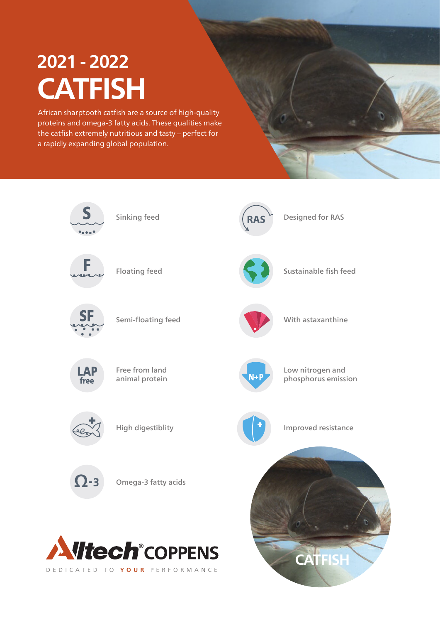# **CATFISH 2021 - 2022**

African sharptooth catfish are a source of high-quality proteins and omega-3 fatty acids. These qualities make the catfish extremely nutritious and tasty – perfect for a rapidly expanding global population.

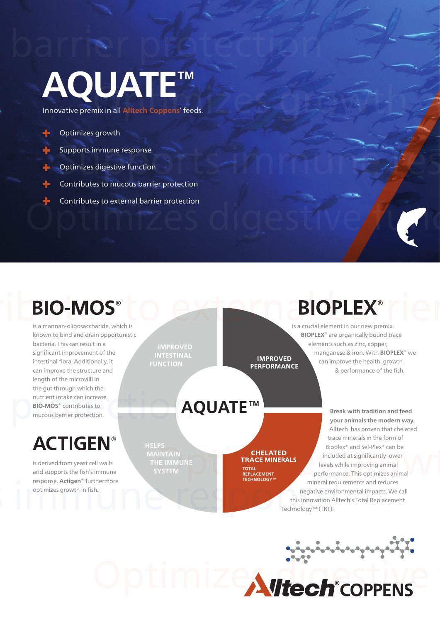# **AQUATE™**

Innovative premix in all **Alltech Coppens**' feeds.

#### Optimizes growth

Supports immune response

- Optimizes digestive function
- Contributes to mucous barrier protection
- Contributes to external barrier protection

# **BIO-MOS®**

is a mannan-oligosaccharide, which is known to bind and drain opportunistic bacteria. This can result in a significant improvement of the intestinal flora. Additionally, it can improve the structure and length of the microvilli in the gut through which the nutrient intake can increase. **BIO-MOS**® contributes to mucous barrier protection.

# **ACTIGEN®**

is derived from yeast cell walls and supports the fish's immune response. **Actigen**® furthermore optimizes growth in fish.

**IMPROVED INTESTINAL FUNCTION** 

# **AQUATE™**

**HELPS MAINTAIN** THE IMMUNE

#### **CHELATED TRACE MINERALS**

**IMPROVED** 

**PERFORMANCE** 

**TOTAL REPLACEMENT TECHNOLOGY™**

# **BIOPLEX®**

is a crucial element in our new premix. **BIOPLEX**® are organically bound trace elements such as zinc, copper, manganese & iron. With **BIOPLEX**® we can improve the health, growth & performance of the fish.

**Break with tradition and feed your animals the modern way.** Alltech has proven that chelated trace minerals in the form of Bioplex® and Sel-Plex® can be included at significantly lower levels while improving animal performance. This optimizes animal mineral requirements and reduces negative environmental impacts. We call this innovation Alltech's Total Replacement Technology™ (TRT).

Optimizewick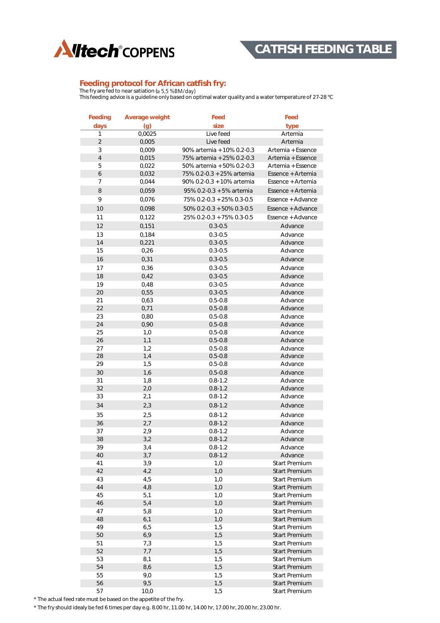

#### **Feeding protocol for African catfish fry:**

The fry are fed to near satiation ( This feeding advice is a guideline only based on optimal water quality and a water temperature of 27-28 °C

| Feeding          | Average weight | Feed                         | Feed                 |
|------------------|----------------|------------------------------|----------------------|
| days             | (g)            | size                         | type                 |
| 1                | 0,0025         | Live feed                    | Artemia              |
| $\overline{2}$   | 0,005          | Live feed                    | Artemia              |
| 3                | 0,009          | 90% artemia + 10% 0.2-0.3    | Artemia + Essence    |
| $\overline{4}$   | 0,015          | 75% artemia + 25% 0.2-0.3    | Artemia + Essence    |
| 5                | 0,022          | 50% artemia + 50% 0.2-0.3    | Artemia + Essence    |
| $\boldsymbol{6}$ | 0,032          | 75% 0.2-0.3 + 25% artemia    | Essence + Artemia    |
| 7                | 0,044          | 90% 0.2-0.3 + 10% artemia    | Essence + Artemia    |
|                  |                |                              |                      |
| $\,8\,$          | 0,059          | 95% 0.2-0.3 + 5% artemia     | Essence + Artemia    |
| 9                | 0,076          | 75% 0.2-0.3 + 25% 0.3-0.5    | Essence + Advance    |
| 10               | 0,098          | $50\%$ 0.2-0.3 + 50% 0.3-0.5 | Essence + Advance    |
| 11               | 0,122          | 25% 0.2-0.3 + 75% 0.3-0.5    | Essence + Advance    |
| 12               | 0,151          | $0.3 - 0.5$                  | Advance              |
| 13               | 0,184          | $0.3 - 0.5$                  | Advance              |
| 14               | 0,221          | $0.3 - 0.5$                  | Advance              |
| 15               | 0,26           | $0.3 - 0.5$                  | Advance              |
| 16               | 0,31           | $0.3 - 0.5$                  | Advance              |
| 17               | 0,36           | $0.3 - 0.5$                  | Advance              |
| 18               | 0,42           | $0.3 - 0.5$                  |                      |
|                  |                |                              | Advance              |
| 19               | 0,48           | $0.3 - 0.5$                  | Advance              |
| 20               | 0,55           | $0.3 - 0.5$                  | Advance              |
| 21               | 0,63           | $0.5 - 0.8$                  | Advance              |
| 22               | 0.71           | $0.5 - 0.8$                  | Advance              |
| 23               | 0,80           | $0.5 - 0.8$                  | Advance              |
| 24               | 0,90           | $0.5 - 0.8$                  | Advance              |
| 25               | 1,0            | $0.5 - 0.8$                  | Advance              |
| 26               | 1,1            | $0.5 - 0.8$                  | Advance              |
| 27               | 1,2            | $0.5 - 0.8$                  | Advance              |
| 28               | 1,4            | $0.5 - 0.8$                  | Advance              |
| 29               | 1,5            | $0.5 - 0.8$                  | Advance              |
| 30               | 1,6            | $0.5 - 0.8$                  | Advance              |
| 31               | 1,8            | $0.8 - 1.2$                  | Advance              |
| 32               | 2,0            | $0.8 - 1.2$                  | Advance              |
| 33               | 2,1            | $0.8 - 1.2$                  | Advance              |
| 34               | 2,3            | $0.8 - 1.2$                  | Advance              |
| 35               | 2,5            | $0.8 - 1.2$                  | Advance              |
| 36               | 2,7            | $0.8 - 1.2$                  | Advance              |
| 37               | 2,9            | $0.8 - 1.2$                  | Advance              |
| 38               | 3,2            | $0.8 - 1.2$                  | Advance              |
| 39               |                |                              | Advance              |
| 40               | 3,4<br>3,7     | $0.8 - 1.2$<br>$0.8 - 1.2$   | Advance              |
| 41               | 3,9            | 1,0                          | <b>Start Premium</b> |
| 42               | 4,2            | 1,0                          | <b>Start Premium</b> |
| 43               | 4,5            | 1,0                          | <b>Start Premium</b> |
| 44               | 4,8            | 1,0                          | <b>Start Premium</b> |
| 45               | 5,1            | 1,0                          | Start Premium        |
| 46               | 5,4            | 1,0                          | <b>Start Premium</b> |
|                  |                |                              |                      |
| 47               | 5,8            | 1,0                          | <b>Start Premium</b> |
| 48               | 6,1            | 1,0                          | <b>Start Premium</b> |
| 49               | 6,5            | 1,5                          | <b>Start Premium</b> |
| 50               | 6,9            | 1,5                          | <b>Start Premium</b> |
| 51               | 7,3            | 1,5                          | <b>Start Premium</b> |
| 52               | 7,7            | 1,5                          | <b>Start Premium</b> |
| 53               | 8,1            | 1,5                          | <b>Start Premium</b> |
| 54               | 8,6            | 1,5                          | <b>Start Premium</b> |
| 55               | 9,0            | 1,5                          | Start Premium        |
| 56               | 9,5            | 1,5                          | <b>Start Premium</b> |
| 57               | 10,0           | 1,5                          | <b>Start Premium</b> |

\* The actual feed rate must be based on the appetite of the fry.

\* The fry should idealy be fed 6 times per day e.g. 8.00 hr, 11.00 hr, 14.00 hr, 17.00 hr, 20.00 hr, 23.00 hr.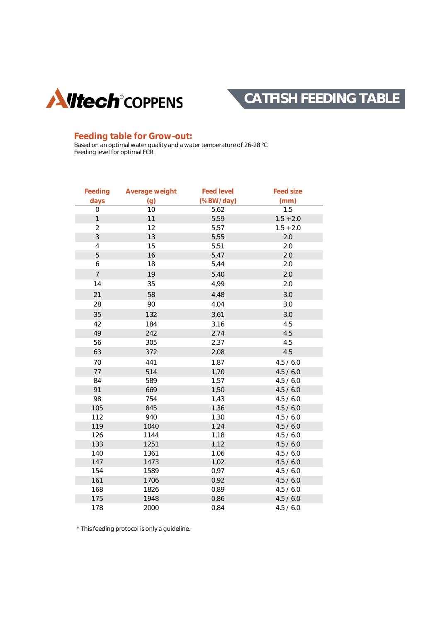



#### **Feeding table for Grow-out:**

Based on an optimal water quality and a water temperature of 26-28 °C Feeding level for optimal FCR

| Feeding        | Average weight | Feed level | Feed size   |
|----------------|----------------|------------|-------------|
| days           | (g)            | (%BW/day)  | (mm)        |
| 0              | 10             | 5,62       | 1.5         |
| $\mathbf{1}$   | 11             | 5,59       | $1.5 + 2.0$ |
| $\overline{2}$ | 12             | 5,57       | $1.5 + 2.0$ |
| $\mathsf 3$    | 13             | 5,55       | 2.0         |
| $\sqrt{4}$     | 15             | 5,51       | 2.0         |
| 5              | 16             | 5,47       | 2.0         |
| 6              | 18             | 5,44       | 2.0         |
| $\overline{7}$ | 19             | 5,40       | 2.0         |
| 14             | 35             | 4,99       | 2.0         |
| 21             | 58             | 4,48       | 3.0         |
| 28             | 90             | 4,04       | 3.0         |
| 35             | 132            | 3,61       | 3.0         |
| 42             | 184            | 3,16       | 4.5         |
| 49             | 242            | 2,74       | 4.5         |
| 56             | 305            | 2,37       | 4.5         |
| 63             | 372            | 2,08       | 4.5         |
| 70             | 441            | 1,87       | 4.5 / 6.0   |
| 77             | 514            | 1,70       | 4.5 / 6.0   |
| 84             | 589            | 1,57       | 4.5 / 6.0   |
| 91             | 669            | 1,50       | 4.5 / 6.0   |
| 98             | 754            | 1,43       | 4.5 / 6.0   |
| 105            | 845            | 1,36       | 4.5 / 6.0   |
| 112            | 940            | 1,30       | 4.5 / 6.0   |
| 119            | 1040           | 1,24       | 4.5 / 6.0   |
| 126            | 1144           | 1,18       | 4.5 / 6.0   |
| 133            | 1251           | 1,12       | 4.5 / 6.0   |
| 140            | 1361           | 1,06       | 4.5 / 6.0   |
| 147            | 1473           | 1,02       | 4.5 / 6.0   |
| 154            | 1589           | 0,97       | 4.5 / 6.0   |
| 161            | 1706           | 0,92       | 4.5 / 6.0   |
| 168            | 1826           | 0,89       | 4.5 / 6.0   |
| 175            | 1948           | 0,86       | 4.5 / 6.0   |
| 178            | 2000           | 0,84       | 4.5 / 6.0   |

\* This feeding protocol is only a guideline.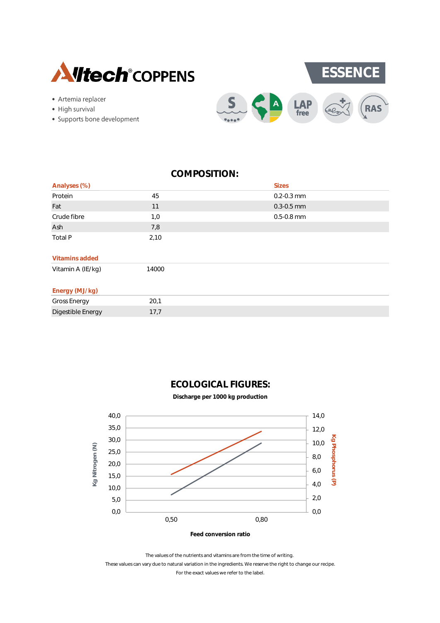



- High survival
- · Supports bone development



| Analyses (%)        |       | <b>Sizes</b>   |
|---------------------|-------|----------------|
| Protein             | 45    | $0.2 - 0.3$ mm |
| Fat                 | 11    | $0.3 - 0.5$ mm |
| Crude fibre         | 1,0   | $0.5 - 0.8$ mm |
| Ash                 | 7,8   |                |
| Total P             | 2,10  |                |
| Vitamins added      |       |                |
| Vitamin A (IE/kg)   | 14000 |                |
| Energy (MJ/kg)      |       |                |
| <b>Gross Energy</b> | 20,1  |                |
| Digestible Energy   | 17,7  |                |



**Discharge per 1000 kg production**



The values of the nutrients and vitamins are from the time of writing.

For the exact values we refer to the label. These values can vary due to natural variation in the ingredients. We reserve the right to change our recipe.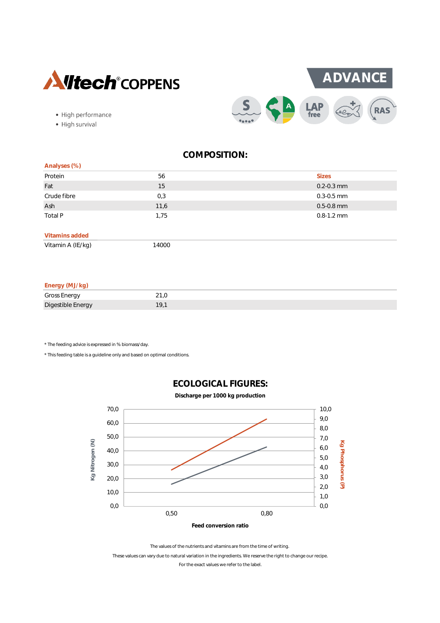



- High performance
- · High survival

| Analyses (%)   |      |                |
|----------------|------|----------------|
| Protein        | 56   | <b>Sizes</b>   |
| Fat            | 15   | $0.2 - 0.3$ mm |
| Crude fibre    | 0,3  | $0.3 - 0.5$ mm |
| Ash            | 11,6 | $0.5 - 0.8$ mm |
| Total P        | 1,75 | $0.8 - 1.2$ mm |
|                |      |                |
| Vitamins added |      |                |

Vitamin A (IE/kg) 14000

#### **Energy (MJ/kg)**

| $\cdots$<br>.       |     |
|---------------------|-----|
| <b>Gross Energy</b> |     |
| Digestible Energy   | 19. |

\* The feeding advice is expressed in % biomass/day.

\* This feeding table is a guideline only and based on optimal conditions.



# **ECOLOGICAL FIGURES:**

For the exact values we refer to the label. The values of the nutrients and vitamins are from the time of writing. These values can vary due to natural variation in the ingredients. We reserve the right to change our recipe.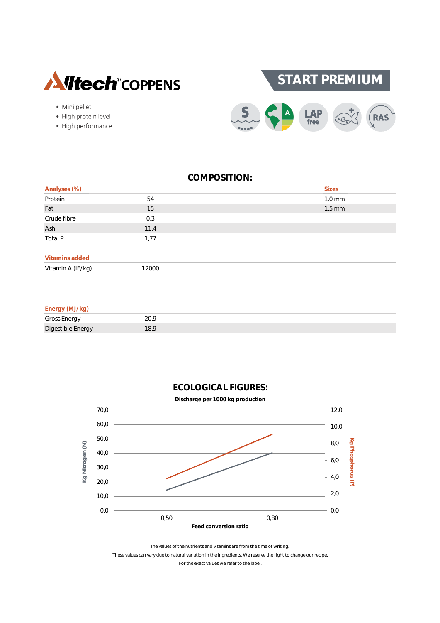

· Mini pellet

· High protein level

· High performance



## **COMPOSITION:**

| Analyses (%)      |       | <b>Sizes</b>     |
|-------------------|-------|------------------|
| Protein           | 54    | $1.0 \text{ mm}$ |
| Fat               | 15    | $1.5$ mm         |
| Crude fibre       | 0,3   |                  |
| Ash               | 11,4  |                  |
| Total P           | 1,77  |                  |
| Vitamins added    |       |                  |
| Vitamin A (IE/kg) | 12000 |                  |

#### **Energy (MJ/kg)** Gross Energy 20,9 Digestible Energy 18,9



#### The values of the nutrients and vitamins are from the time of writing. These values can vary due to natural variation in the ingredients. We reserve the right to change our recipe. For the exact values we refer to the label.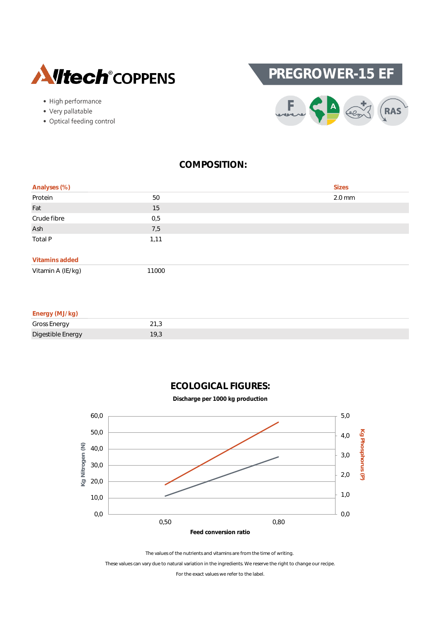





- Very pallatable
- Optical feeding control



| Analyses (%)   |      | Sizes    |
|----------------|------|----------|
| Protein        | 50   | $2.0$ mm |
| Fat            | 15   |          |
| Crude fibre    | 0,5  |          |
| Ash            | 7,5  |          |
| Total P        | 1,11 |          |
|                |      |          |
| Vitamins added |      |          |

Vitamin A (IE/kg) 11000

| Energy (MJ/kg) |  |
|----------------|--|

| .<br>.                 |                      |
|------------------------|----------------------|
| <b>Gross Energy</b>    | $\sim$<br><u>_</u> 1 |
| Digestible Er<br>nergy | 7.0                  |







The values of the nutrients and vitamins are from the time of writing.

These values can vary due to natural variation in the ingredients. We reserve the right to change our recipe.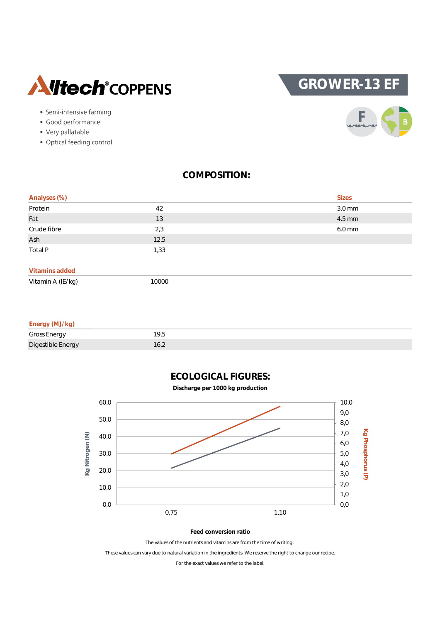

# **GROWER-13 EF**

- Semi-intensive farming
- · Good performance
- Very pallatable
- Optical feeding control



### **COMPOSITION:**

| Analyses (%) |      | <b>Sizes</b> |
|--------------|------|--------------|
| Protein      | 42   | 3.0 mm       |
| Fat          | 13   | 4.5 mm       |
| Crude fibre  | 2,3  | 6.0 mm       |
| Ash          | 12,5 |              |
| Total P      | 1,33 |              |
|              |      |              |

#### **Vitamins added**

| Vitamin A (IE/kg) | 10000 |
|-------------------|-------|
|                   |       |

| Energy (MJ/kg)    |      |
|-------------------|------|
| Gross Energy      | 19.5 |
| Digestible Energy | 16,2 |



**Feed conversion ratio**

The values of the nutrients and vitamins are from the time of writing.

These values can vary due to natural variation in the ingredients. We reserve the right to change our recipe.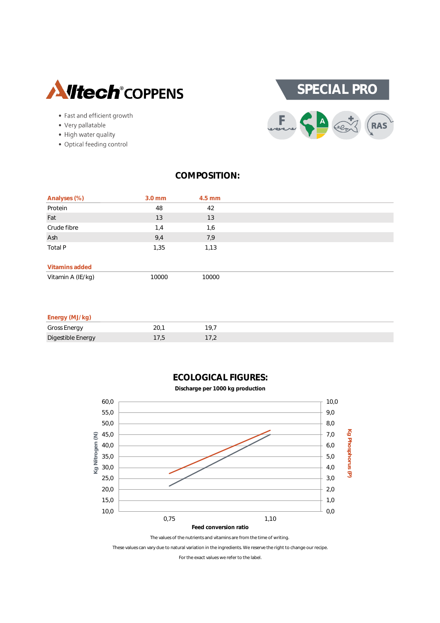



- Fast and efficient growth
- Very pallatable
- High water quality
- · Optical feeding control

| Analyses (%)      | $3.0$ mm | $4.5$ mm |  |
|-------------------|----------|----------|--|
| Protein           | 48       | 42       |  |
| Fat               | 13       | 13       |  |
| Crude fibre       | 1,4      | 1,6      |  |
| Ash               | 9,4      | 7,9      |  |
| Total P           | 1,35     | 1,13     |  |
| Vitamins added    |          |          |  |
| Vitamin A (IE/kg) | 10000    | 10000    |  |

#### **Energy (MJ/kg)**

| _______             |                          |
|---------------------|--------------------------|
| <b>Gross Energy</b> |                          |
| Digestible Energy   | $\overline{\phantom{a}}$ |